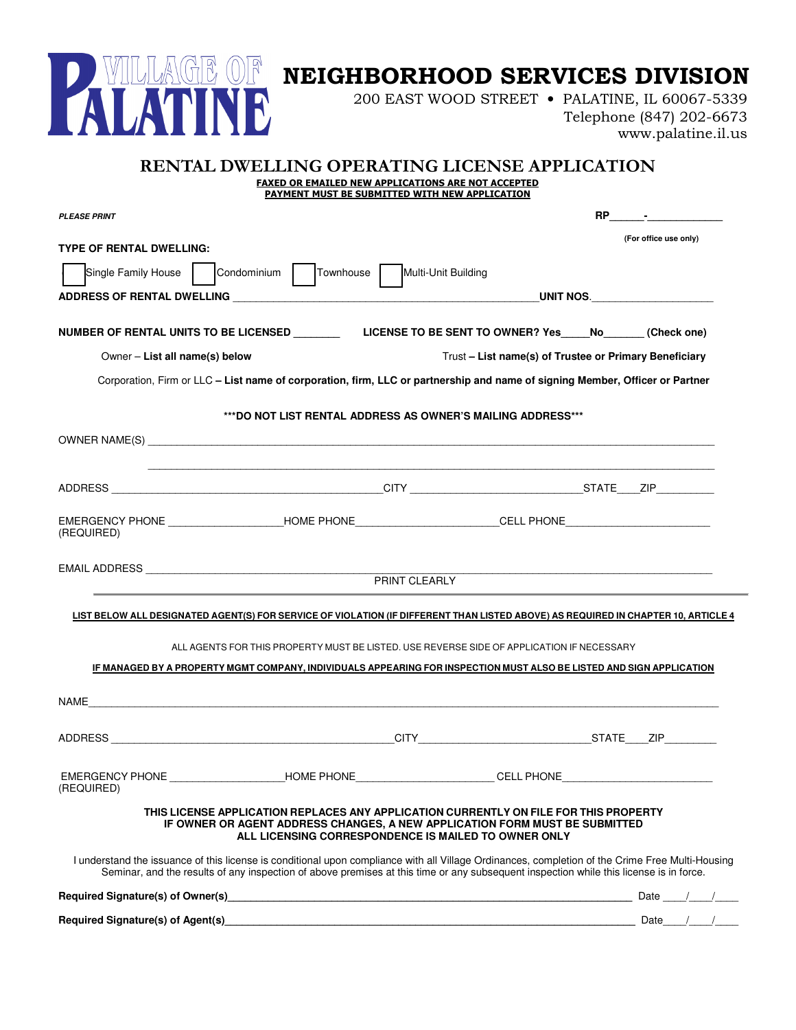

## NEIGHBORHOOD SERVICES DIVISION

200 EAST WOOD STREET • PALATINE, IL 60067-5339

Telephone (847) 202-6673 www.palatine.il.us

|                                                                                                                                                                                                                                                                                            | <b>RENTAL DWELLING OPERATING LICENSE APPLICATION</b>                                                                                                                                                                         |                                                                                                             |                                                        |               |                       |  |
|--------------------------------------------------------------------------------------------------------------------------------------------------------------------------------------------------------------------------------------------------------------------------------------------|------------------------------------------------------------------------------------------------------------------------------------------------------------------------------------------------------------------------------|-------------------------------------------------------------------------------------------------------------|--------------------------------------------------------|---------------|-----------------------|--|
|                                                                                                                                                                                                                                                                                            |                                                                                                                                                                                                                              | <b>FAXED OR EMAILED NEW APPLICATIONS ARE NOT ACCEPTED</b><br>PAYMENT MUST BE SUBMITTED WITH NEW APPLICATION |                                                        |               |                       |  |
| <b>PLEASE PRINT</b>                                                                                                                                                                                                                                                                        |                                                                                                                                                                                                                              |                                                                                                             |                                                        | $RP \qquad -$ |                       |  |
|                                                                                                                                                                                                                                                                                            |                                                                                                                                                                                                                              |                                                                                                             |                                                        |               | (For office use only) |  |
| <b>TYPE OF RENTAL DWELLING:</b>                                                                                                                                                                                                                                                            |                                                                                                                                                                                                                              |                                                                                                             |                                                        |               |                       |  |
| Single Family House                                                                                                                                                                                                                                                                        | Condominium  <br>Townhouse                                                                                                                                                                                                   | Multi-Unit Building                                                                                         |                                                        |               |                       |  |
|                                                                                                                                                                                                                                                                                            |                                                                                                                                                                                                                              |                                                                                                             | UNIT NOS.                                              |               |                       |  |
| NUMBER OF RENTAL UNITS TO BE LICENSED LICENSE TO BE SENT TO OWNER? Yes No (Check one)                                                                                                                                                                                                      |                                                                                                                                                                                                                              |                                                                                                             |                                                        |               |                       |  |
| Owner - List all name(s) below                                                                                                                                                                                                                                                             |                                                                                                                                                                                                                              |                                                                                                             | Trust - List name(s) of Trustee or Primary Beneficiary |               |                       |  |
| Corporation, Firm or LLC - List name of corporation, firm, LLC or partnership and name of signing Member, Officer or Partner                                                                                                                                                               |                                                                                                                                                                                                                              |                                                                                                             |                                                        |               |                       |  |
|                                                                                                                                                                                                                                                                                            |                                                                                                                                                                                                                              |                                                                                                             |                                                        |               |                       |  |
|                                                                                                                                                                                                                                                                                            | ***DO NOT LIST RENTAL ADDRESS AS OWNER'S MAILING ADDRESS***                                                                                                                                                                  |                                                                                                             |                                                        |               |                       |  |
|                                                                                                                                                                                                                                                                                            |                                                                                                                                                                                                                              |                                                                                                             |                                                        |               |                       |  |
|                                                                                                                                                                                                                                                                                            |                                                                                                                                                                                                                              |                                                                                                             |                                                        |               |                       |  |
|                                                                                                                                                                                                                                                                                            |                                                                                                                                                                                                                              |                                                                                                             |                                                        |               |                       |  |
| EMERGENCY PHONE ___________________HOME PHONE______________________CELL PHONE_______________________                                                                                                                                                                                       |                                                                                                                                                                                                                              |                                                                                                             |                                                        |               |                       |  |
| (REQUIRED)                                                                                                                                                                                                                                                                                 |                                                                                                                                                                                                                              |                                                                                                             |                                                        |               |                       |  |
|                                                                                                                                                                                                                                                                                            |                                                                                                                                                                                                                              |                                                                                                             |                                                        |               |                       |  |
|                                                                                                                                                                                                                                                                                            |                                                                                                                                                                                                                              | <b>PRINT CLEARLY</b>                                                                                        |                                                        |               |                       |  |
| LIST BELOW ALL DESIGNATED AGENT(S) FOR SERVICE OF VIOLATION (IF DIFFERENT THAN LISTED ABOVE) AS REQUIRED IN CHAPTER 10, ARTICLE 4                                                                                                                                                          |                                                                                                                                                                                                                              |                                                                                                             |                                                        |               |                       |  |
|                                                                                                                                                                                                                                                                                            | ALL AGENTS FOR THIS PROPERTY MUST BE LISTED. USE REVERSE SIDE OF APPLICATION IF NECESSARY                                                                                                                                    |                                                                                                             |                                                        |               |                       |  |
| IF MANAGED BY A PROPERTY MGMT COMPANY, INDIVIDUALS APPEARING FOR INSPECTION MUST ALSO BE LISTED AND SIGN APPLICATION                                                                                                                                                                       |                                                                                                                                                                                                                              |                                                                                                             |                                                        |               |                       |  |
|                                                                                                                                                                                                                                                                                            |                                                                                                                                                                                                                              |                                                                                                             |                                                        |               |                       |  |
| NAME                                                                                                                                                                                                                                                                                       |                                                                                                                                                                                                                              |                                                                                                             |                                                        |               |                       |  |
| <b>ADDRESS</b>                                                                                                                                                                                                                                                                             |                                                                                                                                                                                                                              | $\_$ CITY $\_$                                                                                              |                                                        | STATE ZIP     |                       |  |
|                                                                                                                                                                                                                                                                                            |                                                                                                                                                                                                                              |                                                                                                             |                                                        |               |                       |  |
| EMERGENCY PHONE THE RESERVED HOME PHONE THE RESERVED OF SAFEKEEPHONE<br>(REQUIRED)                                                                                                                                                                                                         |                                                                                                                                                                                                                              |                                                                                                             |                                                        |               |                       |  |
|                                                                                                                                                                                                                                                                                            | THIS LICENSE APPLICATION REPLACES ANY APPLICATION CURRENTLY ON FILE FOR THIS PROPERTY<br>IF OWNER OR AGENT ADDRESS CHANGES, A NEW APPLICATION FORM MUST BE SUBMITTED<br>ALL LICENSING CORRESPONDENCE IS MAILED TO OWNER ONLY |                                                                                                             |                                                        |               |                       |  |
| I understand the issuance of this license is conditional upon compliance with all Village Ordinances, completion of the Crime Free Multi-Housing<br>Seminar, and the results of any inspection of above premises at this time or any subsequent inspection while this license is in force. |                                                                                                                                                                                                                              |                                                                                                             |                                                        |               |                       |  |
| Required Signature(s) of Owner(s) entertainment and the control of the Date and Date and Date and Date and Date and Date and Date and Date and Date and Date and Date and Date and Date and Date and Date and Date and Date an                                                             |                                                                                                                                                                                                                              |                                                                                                             |                                                        |               |                       |  |
| Required Signature(s) of Agent(s)                                                                                                                                                                                                                                                          |                                                                                                                                                                                                                              |                                                                                                             |                                                        |               | Date $/$ /            |  |